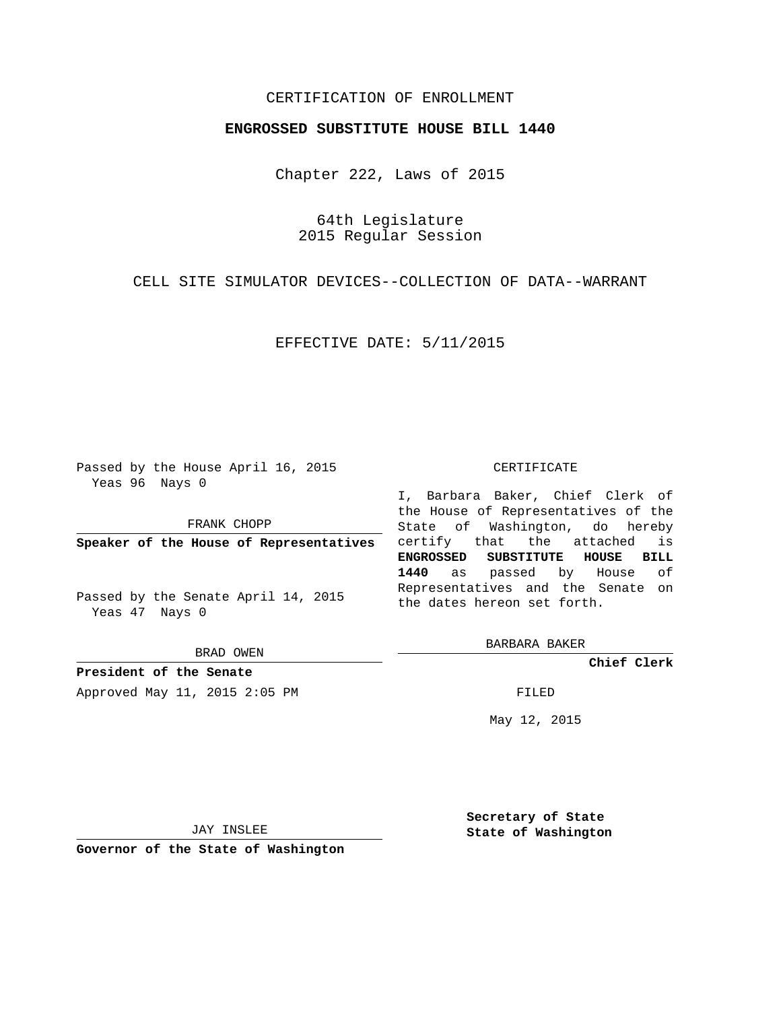## CERTIFICATION OF ENROLLMENT

## **ENGROSSED SUBSTITUTE HOUSE BILL 1440**

Chapter 222, Laws of 2015

64th Legislature 2015 Regular Session

CELL SITE SIMULATOR DEVICES--COLLECTION OF DATA--WARRANT

EFFECTIVE DATE: 5/11/2015

Passed by the House April 16, 2015 Yeas 96 Nays 0

FRANK CHOPP

**Speaker of the House of Representatives**

Passed by the Senate April 14, 2015 Yeas 47 Nays 0

BRAD OWEN

**President of the Senate** Approved May 11, 2015 2:05 PM FILED

#### CERTIFICATE

I, Barbara Baker, Chief Clerk of the House of Representatives of the State of Washington, do hereby certify that the attached is **ENGROSSED SUBSTITUTE HOUSE BILL 1440** as passed by House of Representatives and the Senate on the dates hereon set forth.

BARBARA BAKER

**Chief Clerk**

May 12, 2015

JAY INSLEE

**Governor of the State of Washington**

**Secretary of State State of Washington**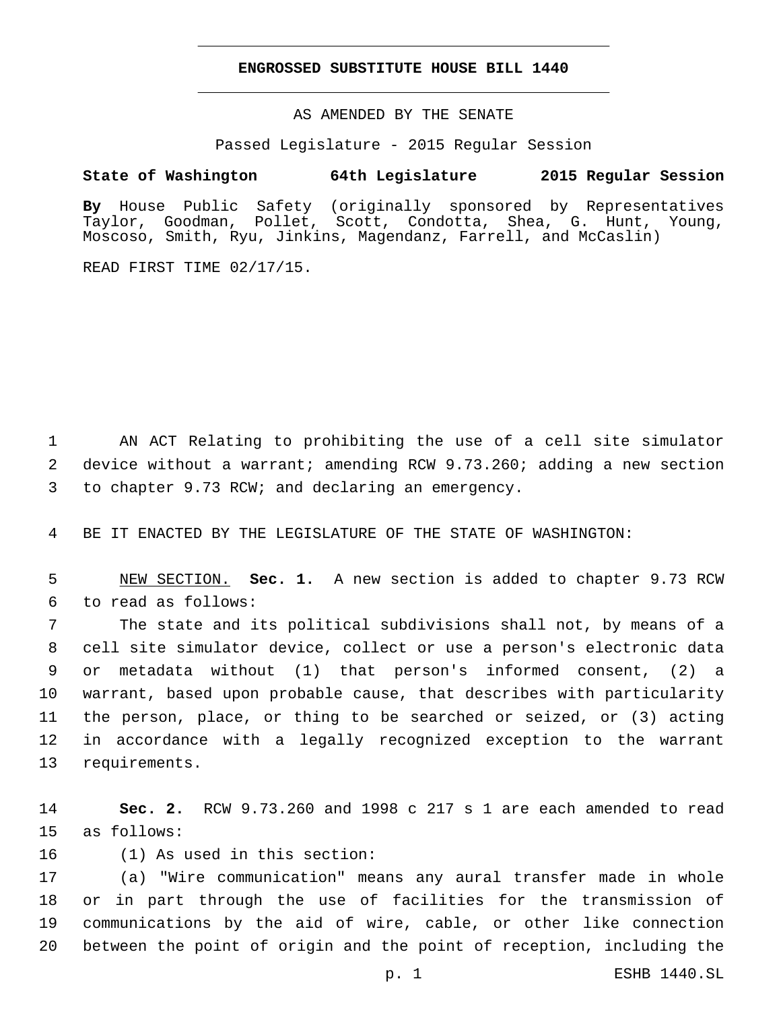## **ENGROSSED SUBSTITUTE HOUSE BILL 1440**

AS AMENDED BY THE SENATE

Passed Legislature - 2015 Regular Session

# **State of Washington 64th Legislature 2015 Regular Session**

**By** House Public Safety (originally sponsored by Representatives Taylor, Goodman, Pollet, Scott, Condotta, Shea, G. Hunt, Young, Moscoso, Smith, Ryu, Jinkins, Magendanz, Farrell, and McCaslin)

READ FIRST TIME 02/17/15.

1 AN ACT Relating to prohibiting the use of a cell site simulator 2 device without a warrant; amending RCW 9.73.260; adding a new section 3 to chapter 9.73 RCW; and declaring an emergency.

4 BE IT ENACTED BY THE LEGISLATURE OF THE STATE OF WASHINGTON:

5 NEW SECTION. **Sec. 1.** A new section is added to chapter 9.73 RCW to read as follows:6

 The state and its political subdivisions shall not, by means of a cell site simulator device, collect or use a person's electronic data or metadata without (1) that person's informed consent, (2) a warrant, based upon probable cause, that describes with particularity the person, place, or thing to be searched or seized, or (3) acting in accordance with a legally recognized exception to the warrant 13 requirements.

14 **Sec. 2.** RCW 9.73.260 and 1998 c 217 s 1 are each amended to read 15 as follows:

16 (1) As used in this section:

 (a) "Wire communication" means any aural transfer made in whole or in part through the use of facilities for the transmission of communications by the aid of wire, cable, or other like connection between the point of origin and the point of reception, including the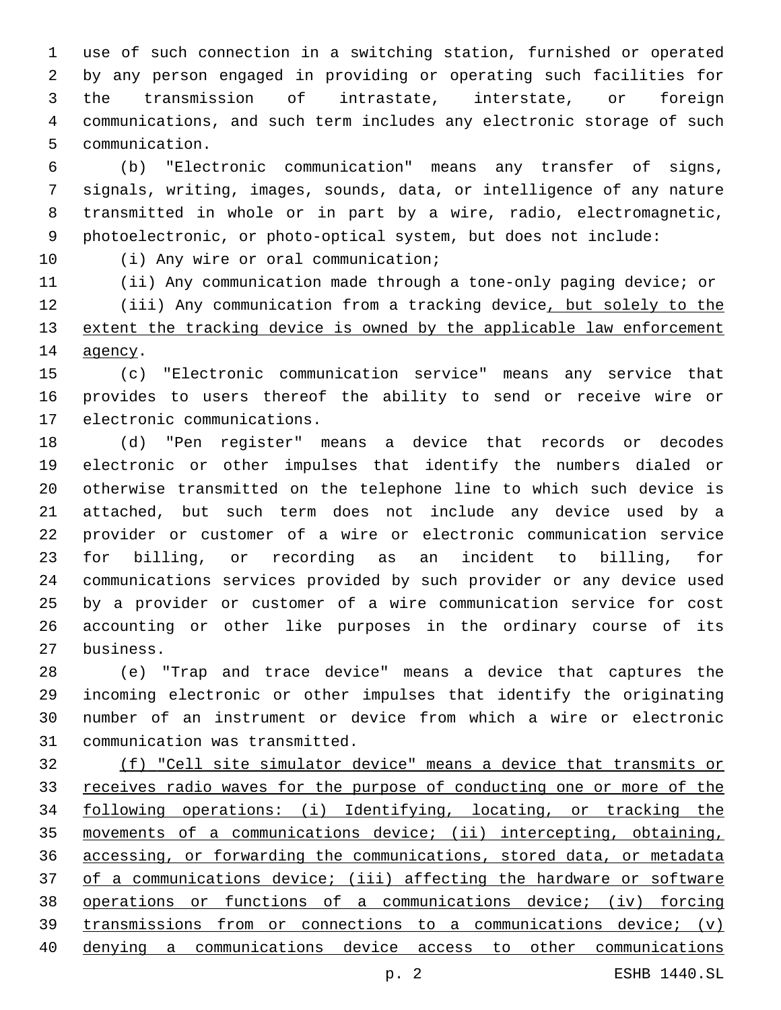use of such connection in a switching station, furnished or operated by any person engaged in providing or operating such facilities for the transmission of intrastate, interstate, or foreign communications, and such term includes any electronic storage of such 5 communication.

 (b) "Electronic communication" means any transfer of signs, signals, writing, images, sounds, data, or intelligence of any nature transmitted in whole or in part by a wire, radio, electromagnetic, photoelectronic, or photo-optical system, but does not include:

10 (i) Any wire or oral communication;

 (ii) Any communication made through a tone-only paging device; or 12 (iii) Any communication from a tracking device, but solely to the 13 extent the tracking device is owned by the applicable law enforcement 14 agency.

 (c) "Electronic communication service" means any service that provides to users thereof the ability to send or receive wire or 17 electronic communications.

 (d) "Pen register" means a device that records or decodes electronic or other impulses that identify the numbers dialed or otherwise transmitted on the telephone line to which such device is attached, but such term does not include any device used by a provider or customer of a wire or electronic communication service for billing, or recording as an incident to billing, for communications services provided by such provider or any device used by a provider or customer of a wire communication service for cost accounting or other like purposes in the ordinary course of its business.27

 (e) "Trap and trace device" means a device that captures the incoming electronic or other impulses that identify the originating number of an instrument or device from which a wire or electronic 31 communication was transmitted.

 (f) "Cell site simulator device" means a device that transmits or 33 receives radio waves for the purpose of conducting one or more of the following operations: (i) Identifying, locating, or tracking the movements of a communications device; (ii) intercepting, obtaining, accessing, or forwarding the communications, stored data, or metadata of a communications device; (iii) affecting the hardware or software operations or functions of a communications device; (iv) forcing transmissions from or connections to a communications device; (v) denying a communications device access to other communications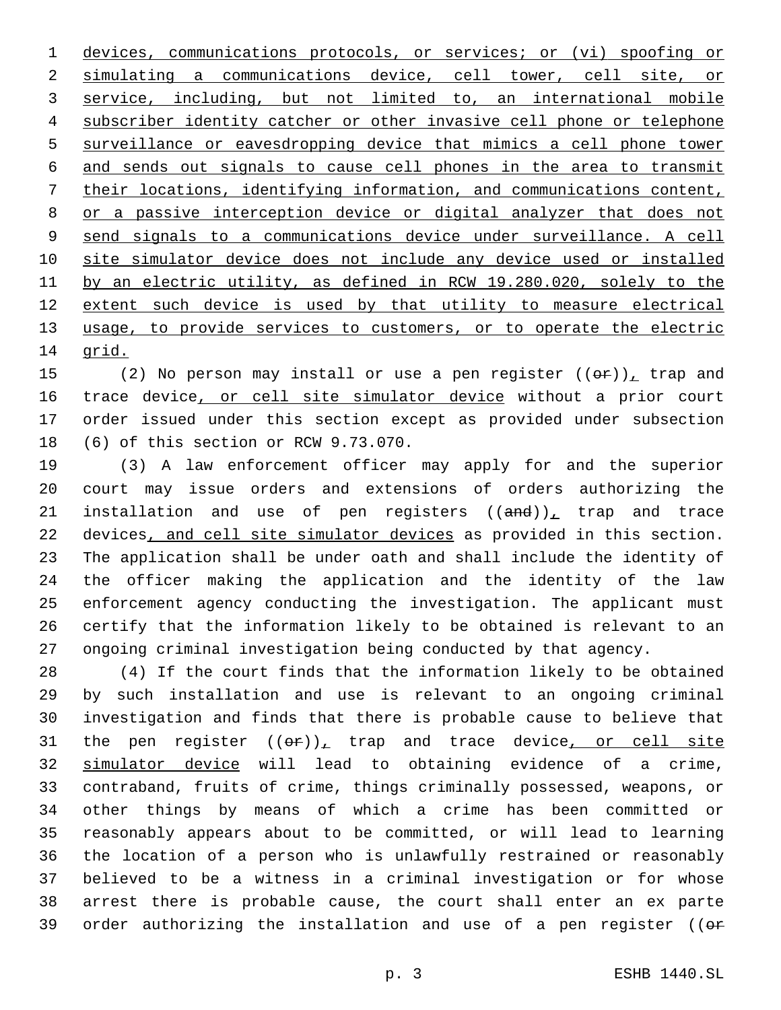devices, communications protocols, or services; or (vi) spoofing or simulating a communications device, cell tower, cell site, or service, including, but not limited to, an international mobile subscriber identity catcher or other invasive cell phone or telephone surveillance or eavesdropping device that mimics a cell phone tower and sends out signals to cause cell phones in the area to transmit their locations, identifying information, and communications content, or a passive interception device or digital analyzer that does not send signals to a communications device under surveillance. A cell site simulator device does not include any device used or installed by an electric utility, as defined in RCW 19.280.020, solely to the extent such device is used by that utility to measure electrical usage, to provide services to customers, or to operate the electric 14 grid.

15 (2) No person may install or use a pen register  $((\theta \cdot \mathbf{r}))_+$  trap and 16 trace device, or cell site simulator device without a prior court order issued under this section except as provided under subsection 18 (6) of this section or RCW 9.73.070.

 (3) A law enforcement officer may apply for and the superior court may issue orders and extensions of orders authorizing the 21 installation and use of pen registers  $((and))_L$  trap and trace devices, and cell site simulator devices as provided in this section. The application shall be under oath and shall include the identity of the officer making the application and the identity of the law enforcement agency conducting the investigation. The applicant must certify that the information likely to be obtained is relevant to an ongoing criminal investigation being conducted by that agency.

 (4) If the court finds that the information likely to be obtained by such installation and use is relevant to an ongoing criminal investigation and finds that there is probable cause to believe that 31 the pen register  $((eF))_t$  trap and trace device, or cell site simulator device will lead to obtaining evidence of a crime, contraband, fruits of crime, things criminally possessed, weapons, or other things by means of which a crime has been committed or reasonably appears about to be committed, or will lead to learning the location of a person who is unlawfully restrained or reasonably believed to be a witness in a criminal investigation or for whose arrest there is probable cause, the court shall enter an ex parte 39 order authorizing the installation and use of a pen register ( $(e<sup>F</sup>)$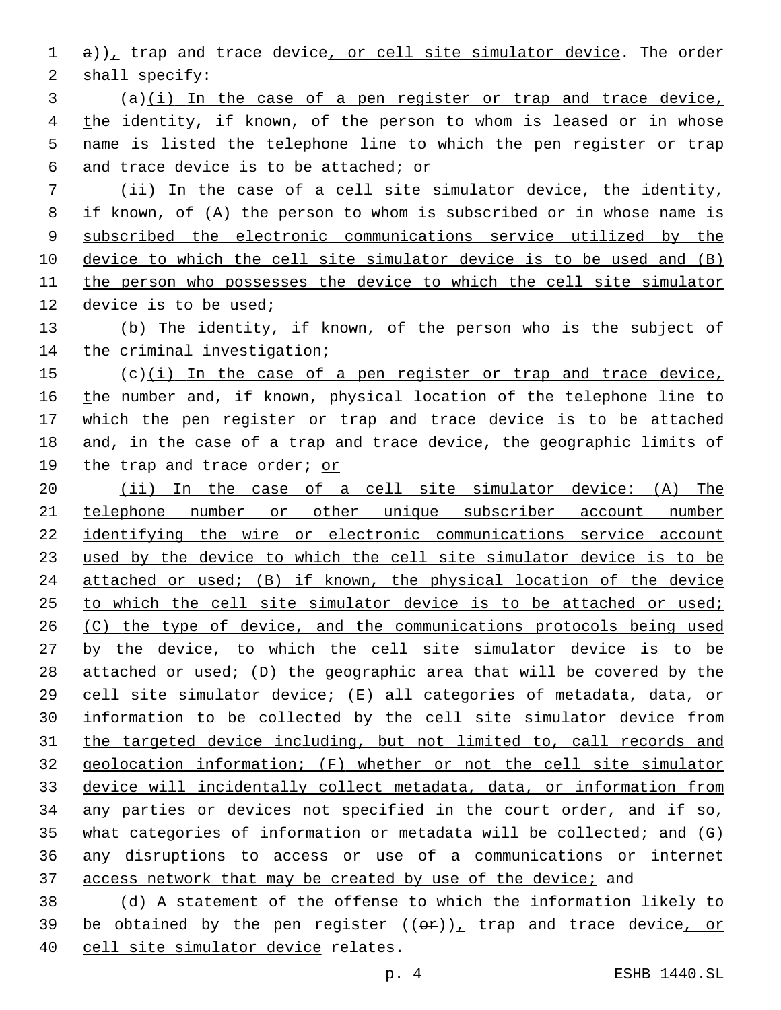1  $a)$ , trap and trace device, or cell site simulator device. The order 2 shall specify:

 (a)(i) In the case of a pen register or trap and trace device, 4 the identity, if known, of the person to whom is leased or in whose name is listed the telephone line to which the pen register or trap and trace device is to be attached; or

 (ii) In the case of a cell site simulator device, the identity, if known, of (A) the person to whom is subscribed or in whose name is subscribed the electronic communications service utilized by the device to which the cell site simulator device is to be used and (B) the person who possesses the device to which the cell site simulator 12 device is to be used;

 (b) The identity, if known, of the person who is the subject of 14 the criminal investigation;

 (c)(i) In the case of a pen register or trap and trace device, 16 the number and, if known, physical location of the telephone line to which the pen register or trap and trace device is to be attached and, in the case of a trap and trace device, the geographic limits of 19 the trap and trace order; or

20 (ii) In the case of a cell site simulator device: (A) The telephone number or other unique subscriber account number identifying the wire or electronic communications service account used by the device to which the cell site simulator device is to be attached or used; (B) if known, the physical location of the device 25 to which the cell site simulator device is to be attached or used; 26 (C) the type of device, and the communications protocols being used by the device, to which the cell site simulator device is to be attached or used; (D) the geographic area that will be covered by the cell site simulator device; (E) all categories of metadata, data, or information to be collected by the cell site simulator device from the targeted device including, but not limited to, call records and geolocation information; (F) whether or not the cell site simulator device will incidentally collect metadata, data, or information from any parties or devices not specified in the court order, and if so, what categories of information or metadata will be collected; and (G) any disruptions to access or use of a communications or internet access network that may be created by use of the device; and

 (d) A statement of the offense to which the information likely to 39 be obtained by the pen register  $((\theta \cdot \mathbf{r}))$ , trap and trace device, or 40 cell site simulator device relates.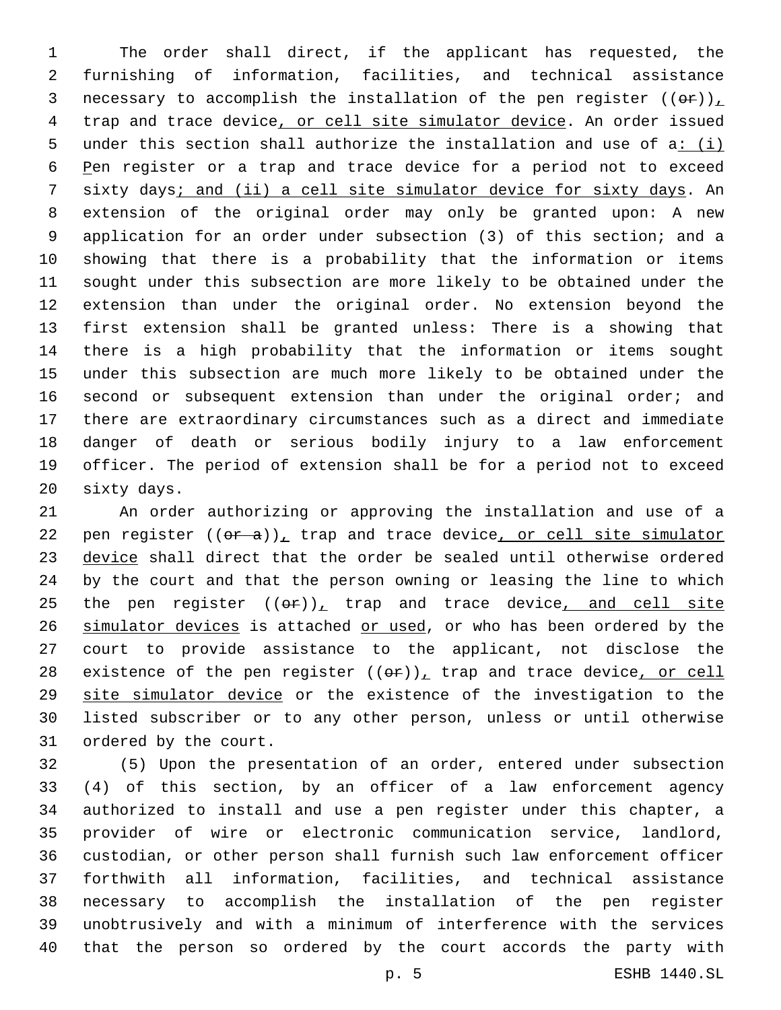The order shall direct, if the applicant has requested, the furnishing of information, facilities, and technical assistance 3 necessary to accomplish the installation of the pen register  $((\theta \hat{r}))_T$  trap and trace device, or cell site simulator device. An order issued under this section shall authorize the installation and use of a: (i) Pen register or a trap and trace device for a period not to exceed sixty days; and (ii) a cell site simulator device for sixty days. An extension of the original order may only be granted upon: A new application for an order under subsection (3) of this section; and a showing that there is a probability that the information or items sought under this subsection are more likely to be obtained under the extension than under the original order. No extension beyond the first extension shall be granted unless: There is a showing that there is a high probability that the information or items sought under this subsection are much more likely to be obtained under the 16 second or subsequent extension than under the original order; and there are extraordinary circumstances such as a direct and immediate danger of death or serious bodily injury to a law enforcement officer. The period of extension shall be for a period not to exceed 20 sixty days.

 An order authorizing or approving the installation and use of a 22 pen register  $((\theta \cdot \hat{a}))$ , trap and trace device, or cell site simulator 23 device shall direct that the order be sealed until otherwise ordered by the court and that the person owning or leasing the line to which 25 the pen register  $((\theta \cdot \mathbf{r}))_+$  trap and trace device, and cell site 26 simulator devices is attached or used, or who has been ordered by the court to provide assistance to the applicant, not disclose the 28 existence of the pen register  $((\theta \hat{r}))_L$  trap and trace device, or cell 29 site simulator device or the existence of the investigation to the listed subscriber or to any other person, unless or until otherwise 31 ordered by the court.

 (5) Upon the presentation of an order, entered under subsection (4) of this section, by an officer of a law enforcement agency authorized to install and use a pen register under this chapter, a provider of wire or electronic communication service, landlord, custodian, or other person shall furnish such law enforcement officer forthwith all information, facilities, and technical assistance necessary to accomplish the installation of the pen register unobtrusively and with a minimum of interference with the services that the person so ordered by the court accords the party with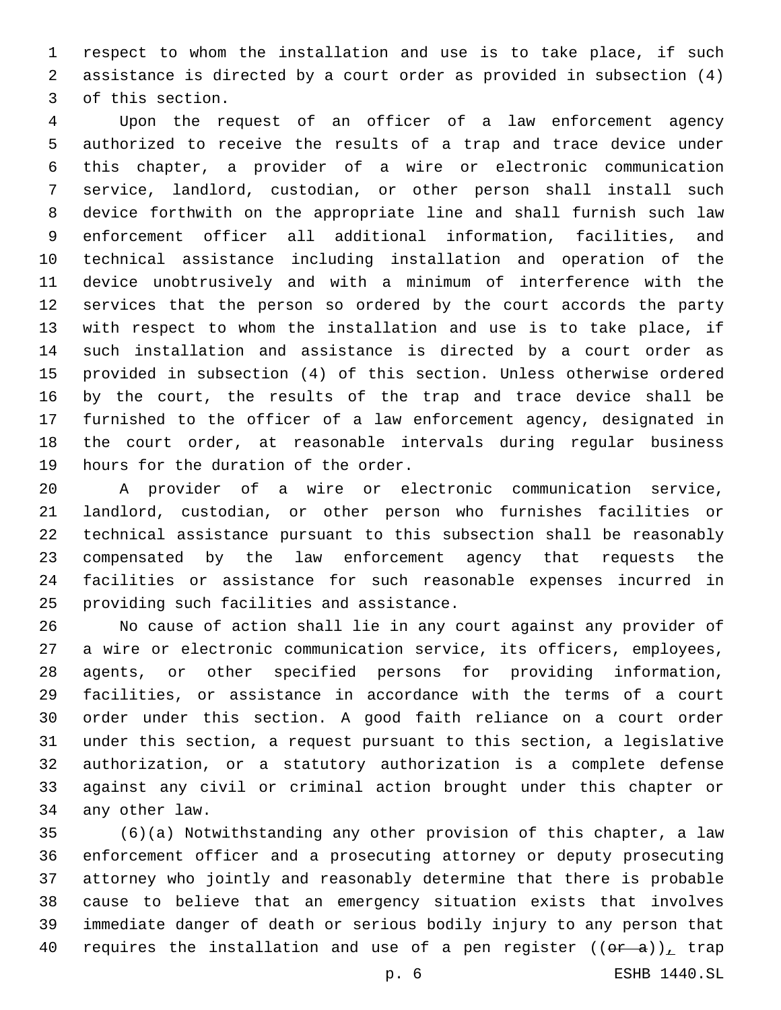respect to whom the installation and use is to take place, if such assistance is directed by a court order as provided in subsection (4) 3 of this section.

 Upon the request of an officer of a law enforcement agency authorized to receive the results of a trap and trace device under this chapter, a provider of a wire or electronic communication service, landlord, custodian, or other person shall install such device forthwith on the appropriate line and shall furnish such law enforcement officer all additional information, facilities, and technical assistance including installation and operation of the device unobtrusively and with a minimum of interference with the services that the person so ordered by the court accords the party with respect to whom the installation and use is to take place, if such installation and assistance is directed by a court order as provided in subsection (4) of this section. Unless otherwise ordered by the court, the results of the trap and trace device shall be furnished to the officer of a law enforcement agency, designated in the court order, at reasonable intervals during regular business 19 hours for the duration of the order.

 A provider of a wire or electronic communication service, landlord, custodian, or other person who furnishes facilities or technical assistance pursuant to this subsection shall be reasonably compensated by the law enforcement agency that requests the facilities or assistance for such reasonable expenses incurred in 25 providing such facilities and assistance.

 No cause of action shall lie in any court against any provider of a wire or electronic communication service, its officers, employees, agents, or other specified persons for providing information, facilities, or assistance in accordance with the terms of a court order under this section. A good faith reliance on a court order under this section, a request pursuant to this section, a legislative authorization, or a statutory authorization is a complete defense against any civil or criminal action brought under this chapter or 34 any other law.

 (6)(a) Notwithstanding any other provision of this chapter, a law enforcement officer and a prosecuting attorney or deputy prosecuting attorney who jointly and reasonably determine that there is probable cause to believe that an emergency situation exists that involves immediate danger of death or serious bodily injury to any person that 40 requires the installation and use of a pen register  $((\theta \cdot \hat{a}))_T$  trap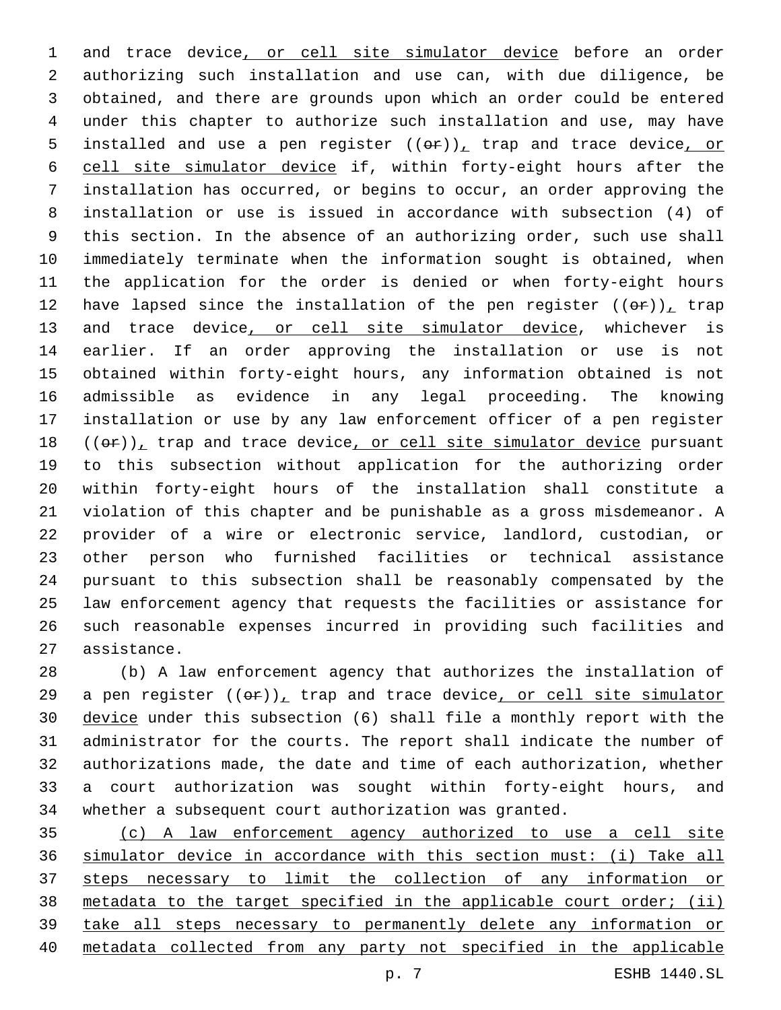and trace device, or cell site simulator device before an order authorizing such installation and use can, with due diligence, be obtained, and there are grounds upon which an order could be entered under this chapter to authorize such installation and use, may have 5 installed and use a pen register  $((eF))_t$  trap and trace device, or cell site simulator device if, within forty-eight hours after the installation has occurred, or begins to occur, an order approving the installation or use is issued in accordance with subsection (4) of this section. In the absence of an authorizing order, such use shall immediately terminate when the information sought is obtained, when the application for the order is denied or when forty-eight hours 12 have lapsed since the installation of the pen register  $((\theta \cdot \mathbf{r}))_+$  trap 13 and trace device, or cell site simulator device, whichever is earlier. If an order approving the installation or use is not obtained within forty-eight hours, any information obtained is not admissible as evidence in any legal proceeding. The knowing installation or use by any law enforcement officer of a pen register  $((\theta \cdot \mathbf{r}))$ , trap and trace device, or cell site simulator device pursuant to this subsection without application for the authorizing order within forty-eight hours of the installation shall constitute a violation of this chapter and be punishable as a gross misdemeanor. A provider of a wire or electronic service, landlord, custodian, or other person who furnished facilities or technical assistance pursuant to this subsection shall be reasonably compensated by the law enforcement agency that requests the facilities or assistance for such reasonable expenses incurred in providing such facilities and 27 assistance.

 (b) A law enforcement agency that authorizes the installation of 29 a pen register  $((e^{\alpha})^2)$ , trap and trace device, or cell site simulator device under this subsection (6) shall file a monthly report with the administrator for the courts. The report shall indicate the number of authorizations made, the date and time of each authorization, whether a court authorization was sought within forty-eight hours, and whether a subsequent court authorization was granted.

 (c) A law enforcement agency authorized to use a cell site simulator device in accordance with this section must: (i) Take all steps necessary to limit the collection of any information or metadata to the target specified in the applicable court order; (ii) take all steps necessary to permanently delete any information or metadata collected from any party not specified in the applicable